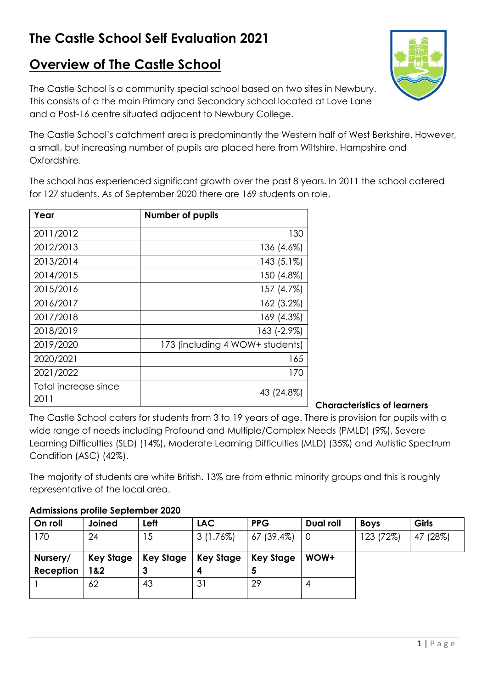# **The Castle School Self Evaluation 2021**

# **Overview of The Castle School**

The Castle School is a community special school based on two sites in Newbury. This consists of a the main Primary and Secondary school located at Love Lane and a Post-16 centre situated adjacent to Newbury College.

The Castle School's catchment area is predominantly the Western half of West Berkshire. However, a small, but increasing number of pupils are placed here from Wiltshire, Hampshire and Oxfordshire.

The school has experienced significant growth over the past 8 years. In 2011 the school catered for 127 students. As of September 2020 there are 169 students on role.

| Year                         | <b>Number of pupils</b>         |
|------------------------------|---------------------------------|
| 2011/2012                    | 130                             |
| 2012/2013                    | 136 (4.6%)                      |
| 2013/2014                    | $143(5.1\%)$                    |
| 2014/2015                    | 150 (4.8%)                      |
| 2015/2016                    | 157 (4.7%)                      |
| 2016/2017                    | 162 (3.2%)                      |
| 2017/2018                    | 169 (4.3%)                      |
| 2018/2019                    | 163 (-2.9%)                     |
| 2019/2020                    | 173 (including 4 WOW+ students) |
| 2020/2021                    | 165                             |
| 2021/2022                    | 170                             |
| Total increase since<br>2011 | 43 (24.8%)                      |

**Characteristics of learners**

The Castle School caters for students from 3 to 19 years of age. There is provision for pupils with a wide range of needs including Profound and Multiple/Complex Needs (PMLD) (9%), Severe Learning Difficulties (SLD) (14%), Moderate Learning Difficulties (MLD) (35%) and Autistic Spectrum Condition (ASC) (42%).

The majority of students are white British. 13% are from ethnic minority groups and this is roughly representative of the local area.

# **Admissions profile September 2020**

| On roll   | Joined    | Left             | LAC.        | <b>PPG</b> | <b>Dual roll</b> | <b>Boys</b> | Girls    |
|-----------|-----------|------------------|-------------|------------|------------------|-------------|----------|
| 170       | 24        | 15               | $3(1.76\%)$ | 67 (39.4%) |                  | 123 (72%)   | 47 (28%) |
|           |           |                  |             |            |                  |             |          |
| Nursery/  | Key Stage | <b>Key Stage</b> | Key Stage   | Key Stage  | WOW+             |             |          |
| Reception | 1&2       |                  |             | э          |                  |             |          |
|           | 62        | 43               | 31          | 29         | 4                |             |          |
|           |           |                  |             |            |                  |             |          |

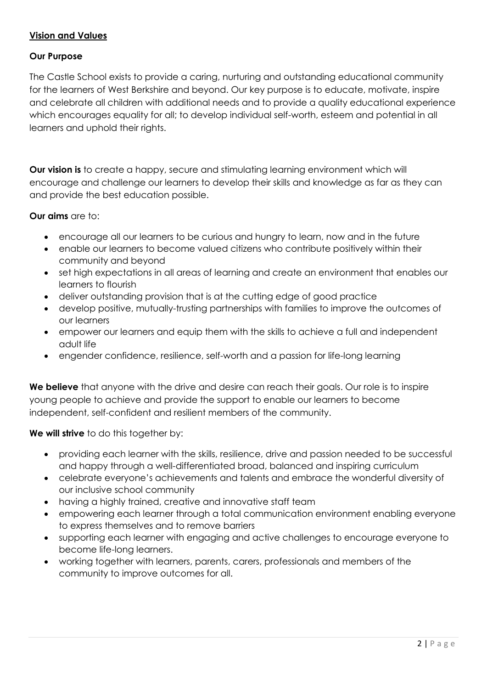# **Vision and Values**

# **Our Purpose**

The Castle School exists to provide a caring, nurturing and outstanding educational community for the learners of West Berkshire and beyond. Our key purpose is to educate, motivate, inspire and celebrate all children with additional needs and to provide a quality educational experience which encourages equality for all; to develop individual self-worth, esteem and potential in all learners and uphold their rights.

**Our vision is** to create a happy, secure and stimulating learning environment which will encourage and challenge our learners to develop their skills and knowledge as far as they can and provide the best education possible.

# **Our aims** are to:

- encourage all our learners to be curious and hungry to learn, now and in the future
- enable our learners to become valued citizens who contribute positively within their community and beyond
- set high expectations in all areas of learning and create an environment that enables our learners to flourish
- deliver outstanding provision that is at the cutting edge of good practice
- develop positive, mutually-trusting partnerships with families to improve the outcomes of our learners
- empower our learners and equip them with the skills to achieve a full and independent adult life
- engender confidence, resilience, self-worth and a passion for life-long learning

**We believe** that anyone with the drive and desire can reach their goals. Our role is to inspire young people to achieve and provide the support to enable our learners to become independent, self-confident and resilient members of the community.

**We will strive** to do this together by:

- providing each learner with the skills, resilience, drive and passion needed to be successful and happy through a well-differentiated broad, balanced and inspiring curriculum
- celebrate everyone's achievements and talents and embrace the wonderful diversity of our inclusive school community
- having a highly trained, creative and innovative staff team
- empowering each learner through a total communication environment enabling everyone to express themselves and to remove barriers
- supporting each learner with engaging and active challenges to encourage everyone to become life-long learners.
- working together with learners, parents, carers, professionals and members of the community to improve outcomes for all.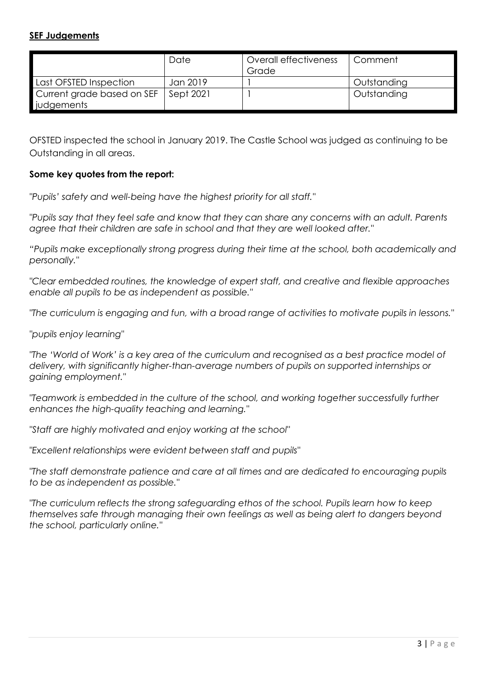# **SEF Judgements**

|                            | Date      | Overall effectiveness | Comment     |
|----------------------------|-----------|-----------------------|-------------|
|                            |           | Grade                 |             |
| Last OFSTED Inspection     | Jan 2019  |                       | Outstanding |
| Current grade based on SEF | Sept 2021 |                       | Outstanding |
| judgements                 |           |                       |             |

OFSTED inspected the school in January 2019. The Castle School was judged as continuing to be Outstanding in all areas.

# **Some key quotes from the report:**

*"Pupils' safety and well-being have the highest priority for all staff."*

*"Pupils say that they feel safe and know that they can share any concerns with an adult. Parents agree that their children are safe in school and that they are well looked after."*

*"Pupils make exceptionally strong progress during their time at the school, both academically and personally."*

*"Clear embedded routines, the knowledge of expert staff, and creative and flexible approaches enable all pupils to be as independent as possible."*

*"The curriculum is engaging and fun, with a broad range of activities to motivate pupils in lessons."*

*"pupils enjoy learning"*

*"The 'World of Work' is a key area of the curriculum and recognised as a best practice model of delivery, with significantly higher-than-average numbers of pupils on supported internships or gaining employment."*

*"Teamwork is embedded in the culture of the school, and working together successfully further enhances the high-quality teaching and learning."*

*"Staff are highly motivated and enjoy working at the school"*

*"Excellent relationships were evident between staff and pupils"*

*"The staff demonstrate patience and care at all times and are dedicated to encouraging pupils to be as independent as possible."*

*"The curriculum reflects the strong safeguarding ethos of the school. Pupils learn how to keep themselves safe through managing their own feelings as well as being alert to dangers beyond the school, particularly online."*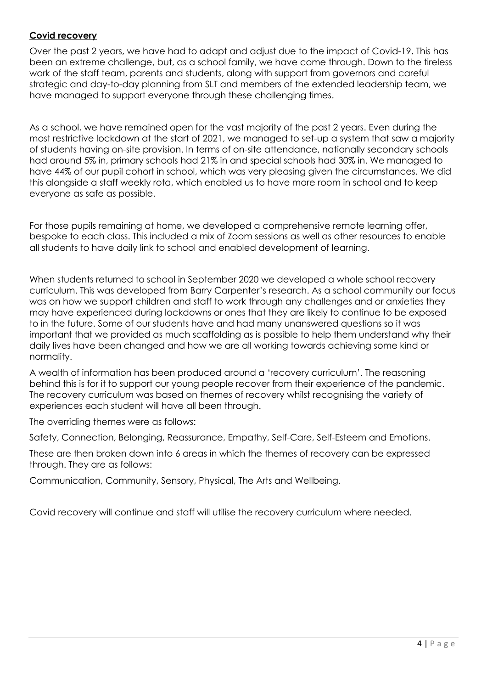# **Covid recovery**

Over the past 2 years, we have had to adapt and adjust due to the impact of Covid-19. This has been an extreme challenge, but, as a school family, we have come through. Down to the tireless work of the staff team, parents and students, along with support from governors and careful strategic and day-to-day planning from SLT and members of the extended leadership team, we have managed to support everyone through these challenging times.

As a school, we have remained open for the vast majority of the past 2 years. Even during the most restrictive lockdown at the start of 2021, we managed to set-up a system that saw a majority of students having on-site provision. In terms of on-site attendance, nationally secondary schools had around 5% in, primary schools had 21% in and special schools had 30% in. We managed to have 44% of our pupil cohort in school, which was very pleasing given the circumstances. We did this alongside a staff weekly rota, which enabled us to have more room in school and to keep everyone as safe as possible.

For those pupils remaining at home, we developed a comprehensive remote learning offer, bespoke to each class. This included a mix of Zoom sessions as well as other resources to enable all students to have daily link to school and enabled development of learning.

When students returned to school in September 2020 we developed a whole school recovery curriculum. This was developed from Barry Carpenter's research. As a school community our focus was on how we support children and staff to work through any challenges and or anxieties they may have experienced during lockdowns or ones that they are likely to continue to be exposed to in the future. Some of our students have and had many unanswered questions so it was important that we provided as much scaffolding as is possible to help them understand why their daily lives have been changed and how we are all working towards achieving some kind or normality.

A wealth of information has been produced around a 'recovery curriculum'. The reasoning behind this is for it to support our young people recover from their experience of the pandemic. The recovery curriculum was based on themes of recovery whilst recognising the variety of experiences each student will have all been through.

The overriding themes were as follows:

Safety, Connection, Belonging, Reassurance, Empathy, Self-Care, Self-Esteem and Emotions.

These are then broken down into 6 areas in which the themes of recovery can be expressed through. They are as follows:

Communication, Community, Sensory, Physical, The Arts and Wellbeing.

Covid recovery will continue and staff will utilise the recovery curriculum where needed.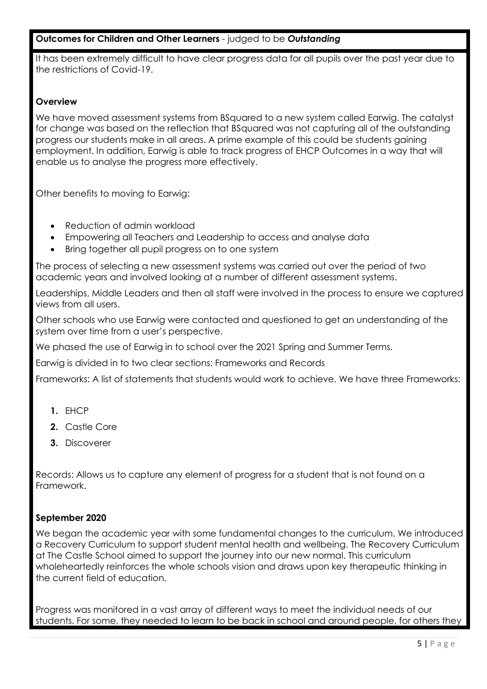# **Outcomes for Children and Other Learners** - judged to be *Outstanding*

It has been extremely difficult to have clear progress data for all pupils over the past year due to the restrictions of Covid-19.

#### **Overview**

We have moved assessment systems from BSquared to a new system called Earwig. The catalyst for change was based on the reflection that BSquared was not capturing all of the outstanding progress our students make in all areas. A prime example of this could be students gaining employment. In addition, Earwig is able to track progress of EHCP Outcomes in a way that will enable us to analyse the progress more effectively.

Other benefits to moving to Earwig:

- Reduction of admin workload
- Empowering all Teachers and Leadership to access and analyse data
- Bring together all pupil progress on to one system

The process of selecting a new assessment systems was carried out over the period of two academic years and involved looking at a number of different assessment systems.

Leaderships, Middle Leaders and then all staff were involved in the process to ensure we captured views from all users.

Other schools who use Earwig were contacted and questioned to get an understanding of the system over time from a user's perspective.

We phased the use of Earwig in to school over the 2021 Spring and Summer Terms.

Earwig is divided in to two clear sections: Frameworks and Records

Frameworks: A list of statements that students would work to achieve. We have three Frameworks:

- **1.** EHCP
- **2.** Castle Core
- **3.** Discoverer

Records: Allows us to capture any element of progress for a student that is not found on a Framework.

# **September 2020**

We began the academic year with some fundamental changes to the curriculum. We introduced a Recovery Curriculum to support student mental health and wellbeing. The Recovery Curriculum at The Castle School aimed to support the journey into our new normal. This curriculum wholeheartedly reinforces the whole schools vision and draws upon key therapeutic thinking in the current field of education.

Progress was monitored in a vast array of different ways to meet the individual needs of our students. For some, they needed to learn to be back in school and around people, for others they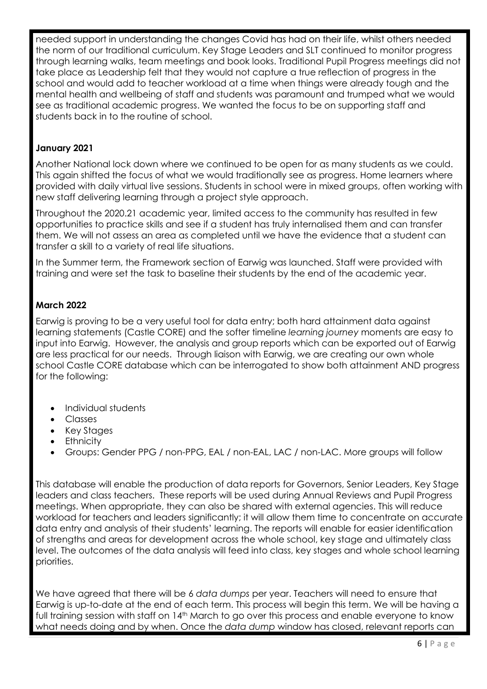needed support in understanding the changes Covid has had on their life, whilst others needed the norm of our traditional curriculum. Key Stage Leaders and SLT continued to monitor progress through learning walks, team meetings and book looks. Traditional Pupil Progress meetings did not take place as Leadership felt that they would not capture a true reflection of progress in the school and would add to teacher workload at a time when things were already tough and the mental health and wellbeing of staff and students was paramount and trumped what we would see as traditional academic progress. We wanted the focus to be on supporting staff and students back in to the routine of school.

# **January 2021**

Another National lock down where we continued to be open for as many students as we could. This again shifted the focus of what we would traditionally see as progress. Home learners where provided with daily virtual live sessions. Students in school were in mixed groups, often working with new staff delivering learning through a project style approach.

Throughout the 2020.21 academic year, limited access to the community has resulted in few opportunities to practice skills and see if a student has truly internalised them and can transfer them. We will not assess an area as completed until we have the evidence that a student can transfer a skill to a variety of real life situations.

In the Summer term, the Framework section of Earwig was launched. Staff were provided with training and were set the task to baseline their students by the end of the academic year.

# **March 2022**

Earwig is proving to be a very useful tool for data entry; both hard attainment data against learning statements (Castle CORE) and the softer timeline *learning journey* moments are easy to input into Earwig. However, the analysis and group reports which can be exported out of Earwig are less practical for our needs. Through liaison with Earwig, we are creating our own whole school Castle CORE database which can be interrogated to show both attainment AND progress for the following:

- Individual students
- Classes
- Key Stages
- Ethnicity
- Groups: Gender PPG / non-PPG, EAL / non-EAL, LAC / non-LAC. More groups will follow

This database will enable the production of data reports for Governors, Senior Leaders, Key Stage leaders and class teachers. These reports will be used during Annual Reviews and Pupil Progress meetings. When appropriate, they can also be shared with external agencies. This will reduce workload for teachers and leaders significantly; it will allow them time to concentrate on accurate data entry and analysis of their students' learning. The reports will enable for easier identification of strengths and areas for development across the whole school, key stage and ultimately class level. The outcomes of the data analysis will feed into class, key stages and whole school learning priorities.

We have agreed that there will be 6 *data dumps* per year. Teachers will need to ensure that Earwig is up-to-date at the end of each term. This process will begin this term. We will be having a full training session with staff on 14<sup>th</sup> March to go over this process and enable everyone to know what needs doing and by when. Once the *data dump* window has closed, relevant reports can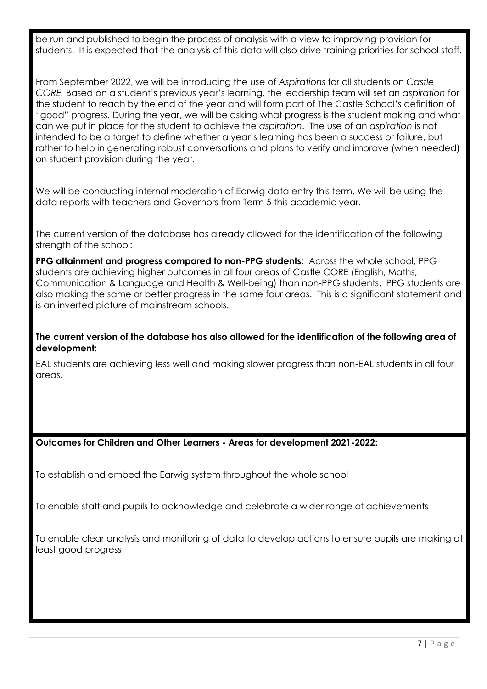be run and published to begin the process of analysis with a view to improving provision for students. It is expected that the analysis of this data will also drive training priorities for school staff.

From September 2022, we will be introducing the use of *Aspirations* for all students on *Castle CORE.* Based on a student's previous year's learning, the leadership team will set an *aspiration* for the student to reach by the end of the year and will form part of The Castle School's definition of "good" progress. During the year, we will be asking what progress is the student making and what can we put in place for the student to achieve the *aspiration*. The use of an *aspiration* is not intended to be a target to define whether a year's learning has been a success or failure, but rather to help in generating robust conversations and plans to verify and improve (when needed) on student provision during the year.

We will be conducting internal moderation of Earwig data entry this term. We will be using the data reports with teachers and Governors from Term 5 this academic year.

The current version of the database has already allowed for the identification of the following strength of the school:

**PPG attainment and progress compared to non-PPG students:** Across the whole school, PPG students are achieving higher outcomes in all four areas of Castle CORE (English, Maths, Communication & Language and Health & Well-being) than non-PPG students. PPG students are also making the same or better progress in the same four areas. This is a significant statement and is an inverted picture of mainstream schools.

**The current version of the database has also allowed for the identification of the following area of development:**

EAL students are achieving less well and making slower progress than non-EAL students in all four areas.

#### **Outcomes for Children and Other Learners - Areas for development 2021-2022:**

To establish and embed the Earwig system throughout the whole school

To enable staff and pupils to acknowledge and celebrate a wider range of achievements

To enable clear analysis and monitoring of data to develop actions to ensure pupils are making at least good progress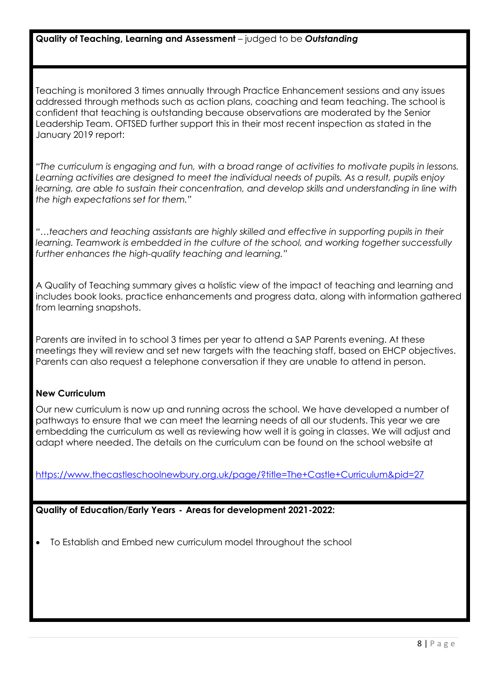#### **Quality of Teaching, Learning and Assessment** – judged to be *Outstanding*

Teaching is monitored 3 times annually through Practice Enhancement sessions and any issues addressed through methods such as action plans, coaching and team teaching. The school is confident that teaching is outstanding because observations are moderated by the Senior Leadership Team. OFTSED further support this in their most recent inspection as stated in the January 2019 report:

*"The curriculum is engaging and fun, with a broad range of activities to motivate pupils in lessons. Learning activities are designed to meet the individual needs of pupils. As a result, pupils enjoy learning, are able to sustain their concentration, and develop skills and understanding in line with the high expectations set for them."*

*"…teachers and teaching assistants are highly skilled and effective in supporting pupils in their learning. Teamwork is embedded in the culture of the school, and working together successfully further enhances the high-quality teaching and learning."*

A Quality of Teaching summary gives a holistic view of the impact of teaching and learning and includes book looks, practice enhancements and progress data, along with information gathered from learning snapshots.

Parents are invited in to school 3 times per year to attend a SAP Parents evening. At these meetings they will review and set new targets with the teaching staff, based on EHCP objectives. Parents can also request a telephone conversation if they are unable to attend in person.

# **New Curriculum**

Our new curriculum is now up and running across the school. We have developed a number of pathways to ensure that we can meet the learning needs of all our students. This year we are embedding the curriculum as well as reviewing how well it is going in classes. We will adjust and adapt where needed. The details on the curriculum can be found on the school website at

<https://www.thecastleschoolnewbury.org.uk/page/?title=The+Castle+Curriculum&pid=27>

**Quality of Education/Early Years - Areas for development 2021-2022:**

To Establish and Embed new curriculum model throughout the school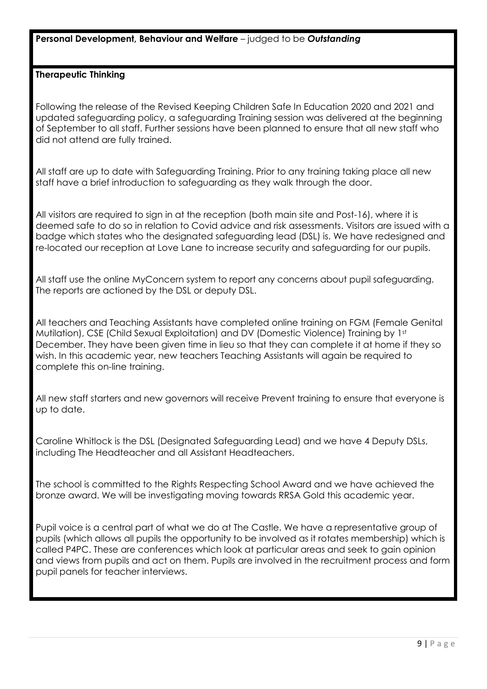**Personal Development, Behaviour and Welfare** – judged to be *Outstanding*

### **Therapeutic Thinking**

Following the release of the Revised Keeping Children Safe In Education 2020 and 2021 and updated safeguarding policy, a safeguarding Training session was delivered at the beginning of September to all staff. Further sessions have been planned to ensure that all new staff who did not attend are fully trained.

All staff are up to date with Safeguarding Training. Prior to any training taking place all new staff have a brief introduction to safeguarding as they walk through the door.

All visitors are required to sign in at the reception (both main site and Post-16), where it is deemed safe to do so in relation to Covid advice and risk assessments. Visitors are issued with a badge which states who the designated safeguarding lead (DSL) is. We have redesigned and re-located our reception at Love Lane to increase security and safeguarding for our pupils.

All staff use the online MyConcern system to report any concerns about pupil safeguarding. The reports are actioned by the DSL or deputy DSL.

All teachers and Teaching Assistants have completed online training on FGM (Female Genital Mutilation), CSE (Child Sexual Exploitation) and DV (Domestic Violence) Training by 1st December. They have been given time in lieu so that they can complete it at home if they so wish. In this academic year, new teachers Teaching Assistants will again be required to complete this on-line training.

All new staff starters and new governors will receive Prevent training to ensure that everyone is up to date.

Caroline Whitlock is the DSL (Designated Safeguarding Lead) and we have 4 Deputy DSLs, including The Headteacher and all Assistant Headteachers.

The school is committed to the Rights Respecting School Award and we have achieved the bronze award. We will be investigating moving towards RRSA Gold this academic year.

Pupil voice is a central part of what we do at The Castle. We have a representative group of pupils (which allows all pupils the opportunity to be involved as it rotates membership) which is called P4PC. These are conferences which look at particular areas and seek to gain opinion and views from pupils and act on them. Pupils are involved in the recruitment process and form pupil panels for teacher interviews.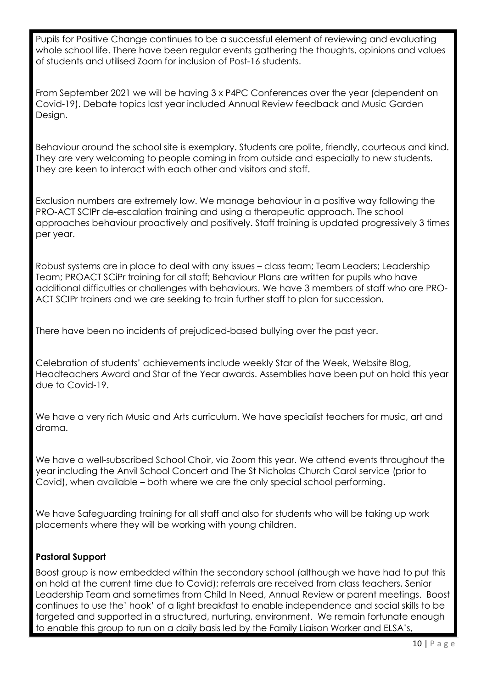Pupils for Positive Change continues to be a successful element of reviewing and evaluating whole school life. There have been regular events gathering the thoughts, opinions and values of students and utilised Zoom for inclusion of Post-16 students.

From September 2021 we will be having 3 x P4PC Conferences over the year (dependent on Covid-19). Debate topics last year included Annual Review feedback and Music Garden Design.

Behaviour around the school site is exemplary. Students are polite, friendly, courteous and kind. They are very welcoming to people coming in from outside and especially to new students. They are keen to interact with each other and visitors and staff.

Exclusion numbers are extremely low. We manage behaviour in a positive way following the PRO-ACT SCIPr de-escalation training and using a therapeutic approach. The school approaches behaviour proactively and positively. Staff training is updated progressively 3 times per year.

Robust systems are in place to deal with any issues – class team; Team Leaders; Leadership Team; PROACT SCiPr training for all staff; Behaviour Plans are written for pupils who have additional difficulties or challenges with behaviours. We have 3 members of staff who are PRO-ACT SCIPr trainers and we are seeking to train further staff to plan for succession.

There have been no incidents of prejudiced-based bullying over the past year.

Celebration of students' achievements include weekly Star of the Week, Website Blog, Headteachers Award and Star of the Year awards. Assemblies have been put on hold this year due to Covid-19.

We have a very rich Music and Arts curriculum. We have specialist teachers for music, art and drama.

We have a well-subscribed School Choir, via Zoom this year. We attend events throughout the year including the Anvil School Concert and The St Nicholas Church Carol service (prior to Covid), when available – both where we are the only special school performing.

We have Safeguarding training for all staff and also for students who will be taking up work placements where they will be working with young children.

# **Pastoral Support**

Boost group is now embedded within the secondary school (although we have had to put this on hold at the current time due to Covid); referrals are received from class teachers, Senior Leadership Team and sometimes from Child In Need, Annual Review or parent meetings. Boost continues to use the' hook' of a light breakfast to enable independence and social skills to be targeted and supported in a structured, nurturing, environment. We remain fortunate enough to enable this group to run on a daily basis led by the Family Liaison Worker and ELSA's,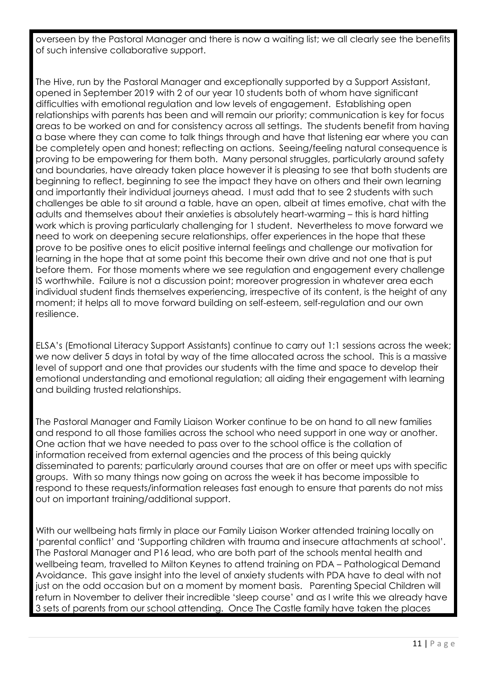overseen by the Pastoral Manager and there is now a waiting list; we all clearly see the benefits of such intensive collaborative support.

The Hive, run by the Pastoral Manager and exceptionally supported by a Support Assistant, opened in September 2019 with 2 of our year 10 students both of whom have significant difficulties with emotional regulation and low levels of engagement. Establishing open relationships with parents has been and will remain our priority; communication is key for focus areas to be worked on and for consistency across all settings. The students benefit from having a base where they can come to talk things through and have that listening ear where you can be completely open and honest; reflecting on actions. Seeing/feeling natural consequence is proving to be empowering for them both. Many personal struggles, particularly around safety and boundaries, have already taken place however it is pleasing to see that both students are beginning to reflect, beginning to see the impact they have on others and their own learning and importantly their individual journeys ahead. I must add that to see 2 students with such challenges be able to sit around a table, have an open, albeit at times emotive, chat with the adults and themselves about their anxieties is absolutely heart-warming – this is hard hitting work which is proving particularly challenging for 1 student. Nevertheless to move forward we need to work on deepening secure relationships, offer experiences in the hope that these prove to be positive ones to elicit positive internal feelings and challenge our motivation for learning in the hope that at some point this become their own drive and not one that is put before them. For those moments where we see regulation and engagement every challenge IS worthwhile. Failure is not a discussion point; moreover progression in whatever area each individual student finds themselves experiencing, irrespective of its content, is the height of any moment; it helps all to move forward building on self-esteem, self-regulation and our own resilience.

ELSA's (Emotional Literacy Support Assistants) continue to carry out 1:1 sessions across the week; we now deliver 5 days in total by way of the time allocated across the school. This is a massive level of support and one that provides our students with the time and space to develop their emotional understanding and emotional regulation; all aiding their engagement with learning and building trusted relationships.

The Pastoral Manager and Family Liaison Worker continue to be on hand to all new families and respond to all those families across the school who need support in one way or another. One action that we have needed to pass over to the school office is the collation of information received from external agencies and the process of this being quickly disseminated to parents; particularly around courses that are on offer or meet ups with specific groups. With so many things now going on across the week it has become impossible to respond to these requests/information releases fast enough to ensure that parents do not miss out on important training/additional support.

With our wellbeing hats firmly in place our Family Liaison Worker attended training locally on 'parental conflict' and 'Supporting children with trauma and insecure attachments at school'. The Pastoral Manager and P16 lead, who are both part of the schools mental health and wellbeing team, travelled to Milton Keynes to attend training on PDA – Pathological Demand Avoidance. This gave insight into the level of anxiety students with PDA have to deal with not just on the odd occasion but on a moment by moment basis. Parenting Special Children will return in November to deliver their incredible 'sleep course' and as I write this we already have 3 sets of parents from our school attending. Once The Castle family have taken the places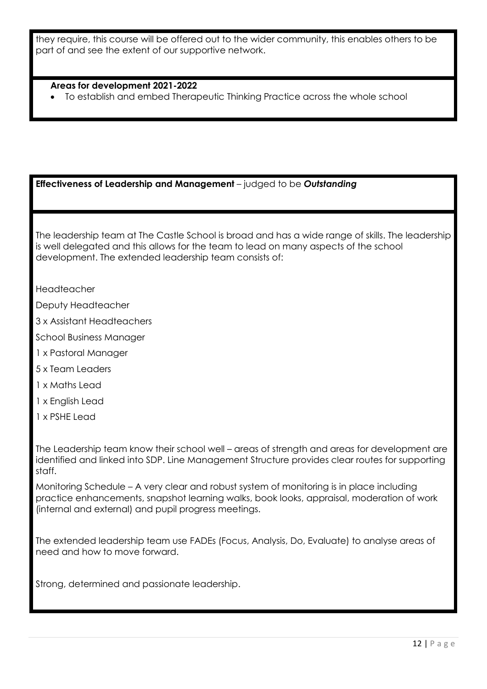they require, this course will be offered out to the wider community, this enables others to be part of and see the extent of our supportive network.

#### **Areas for development 2021-2022**

To establish and embed Therapeutic Thinking Practice across the whole school

#### **Effectiveness of Leadership and Management** – judged to be *Outstanding*

The leadership team at The Castle School is broad and has a wide range of skills. The leadership is well delegated and this allows for the team to lead on many aspects of the school development. The extended leadership team consists of:

Headteacher

Deputy Headteacher

3 x Assistant Headteachers

School Business Manager

- 1 x Pastoral Manager
- 5 x Team Leaders

1 x Maths Lead

1 x English Lead

1 x PSHE Lead

The Leadership team know their school well – areas of strength and areas for development are identified and linked into SDP. Line Management Structure provides clear routes for supporting staff.

Monitoring Schedule – A very clear and robust system of monitoring is in place including practice enhancements, snapshot learning walks, book looks, appraisal, moderation of work (internal and external) and pupil progress meetings.

The extended leadership team use FADEs (Focus, Analysis, Do, Evaluate) to analyse areas of need and how to move forward.

Strong, determined and passionate leadership.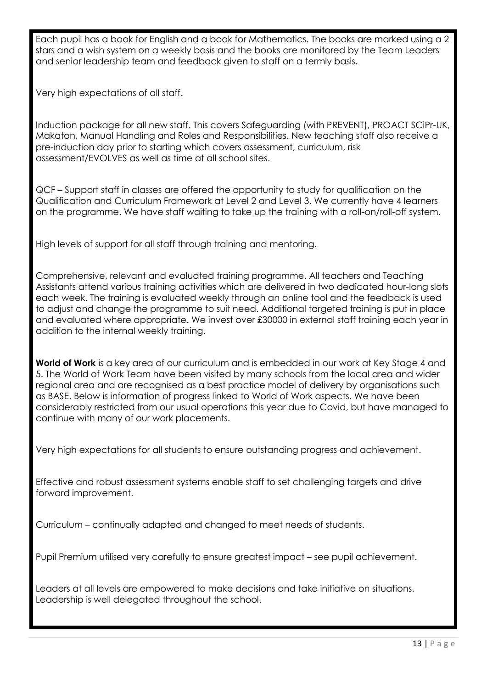Each pupil has a book for English and a book for Mathematics. The books are marked using a 2 stars and a wish system on a weekly basis and the books are monitored by the Team Leaders and senior leadership team and feedback given to staff on a termly basis.

Very high expectations of all staff.

Induction package for all new staff. This covers Safeguarding (with PREVENT), PROACT SCiPr-UK, Makaton, Manual Handling and Roles and Responsibilities. New teaching staff also receive a pre-induction day prior to starting which covers assessment, curriculum, risk assessment/EVOLVES as well as time at all school sites.

QCF – Support staff in classes are offered the opportunity to study for qualification on the Qualification and Curriculum Framework at Level 2 and Level 3. We currently have 4 learners on the programme. We have staff waiting to take up the training with a roll-on/roll-off system.

High levels of support for all staff through training and mentoring.

Comprehensive, relevant and evaluated training programme. All teachers and Teaching Assistants attend various training activities which are delivered in two dedicated hour-long slots each week. The training is evaluated weekly through an online tool and the feedback is used to adjust and change the programme to suit need. Additional targeted training is put in place and evaluated where appropriate. We invest over £30000 in external staff training each year in addition to the internal weekly training.

**World of Work** is a key area of our curriculum and is embedded in our work at Key Stage 4 and 5. The World of Work Team have been visited by many schools from the local area and wider regional area and are recognised as a best practice model of delivery by organisations such as BASE. Below is information of progress linked to World of Work aspects. We have been considerably restricted from our usual operations this year due to Covid, but have managed to continue with many of our work placements.

Very high expectations for all students to ensure outstanding progress and achievement.

Effective and robust assessment systems enable staff to set challenging targets and drive forward improvement.

Curriculum – continually adapted and changed to meet needs of students.

Pupil Premium utilised very carefully to ensure greatest impact – see pupil achievement.

Leaders at all levels are empowered to make decisions and take initiative on situations. Leadership is well delegated throughout the school.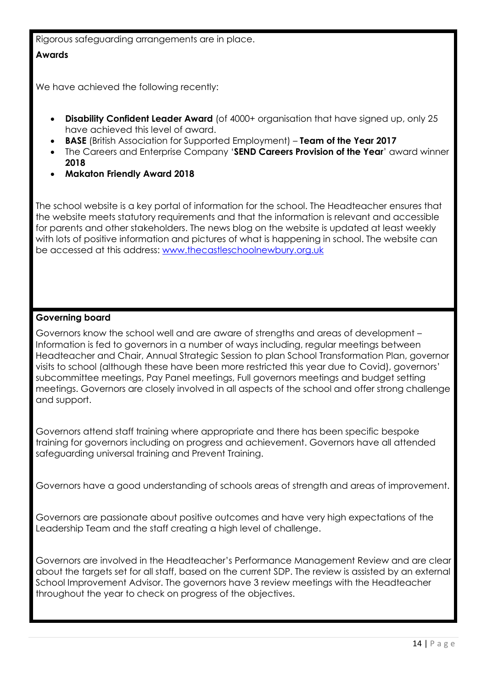Rigorous safeguarding arrangements are in place.

### **Awards**

We have achieved the following recently:

- **Disability Confident Leader Award** (of 4000+ organisation that have signed up, only 25 have achieved this level of award.
- **BASE** (British Association for Supported Employment) **Team of the Year 2017**
- The Careers and Enterprise Company '**SEND Careers Provision of the Year**' award winner **2018**
- **Makaton Friendly Award 2018**

The school website is a key portal of information for the school. The Headteacher ensures that the website meets statutory requirements and that the information is relevant and accessible for parents and other stakeholders. The news blog on the website is updated at least weekly with lots of positive information and pictures of what is happening in school. The website can be accessed at this address: [www.thecastleschoolnewbury.org.uk](http://www.thecastleschoolnewbury.org.uk/)

# **Governing board**

Governors know the school well and are aware of strengths and areas of development – Information is fed to governors in a number of ways including, regular meetings between Headteacher and Chair, Annual Strategic Session to plan School Transformation Plan, governor visits to school (although these have been more restricted this year due to Covid), governors' subcommittee meetings, Pay Panel meetings, Full governors meetings and budget setting meetings. Governors are closely involved in all aspects of the school and offer strong challenge and support.

Governors attend staff training where appropriate and there has been specific bespoke training for governors including on progress and achievement. Governors have all attended safeguarding universal training and Prevent Training.

Governors have a good understanding of schools areas of strength and areas of improvement.

Governors are passionate about positive outcomes and have very high expectations of the Leadership Team and the staff creating a high level of challenge.

Governors are involved in the Headteacher's Performance Management Review and are clear about the targets set for all staff, based on the current SDP. The review is assisted by an external School Improvement Advisor. The governors have 3 review meetings with the Headteacher throughout the year to check on progress of the objectives.